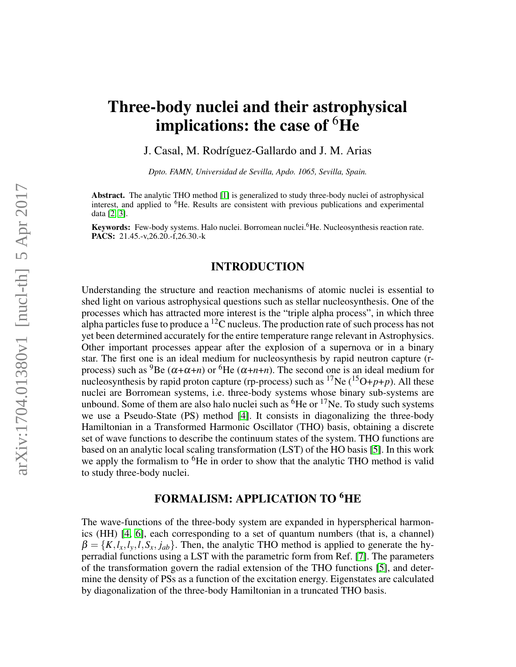# Three-body nuclei and their astrophysical implications: the case of  ${}^{6}$ He

J. Casal, M. Rodríguez-Gallardo and J. M. Arias

*Dpto. FAMN, Universidad de Sevilla, Apdo. 1065, Sevilla, Spain.*

Abstract. The analytic THO method [\[1\]](#page-1-0) is generalized to study three-body nuclei of astrophysical interest, and applied to <sup>6</sup>He. Results are consistent with previous publications and experimental data [\[2,](#page-1-1) [3\]](#page-1-2).

Keywords: Few-body systems. Halo nuclei. Borromean nuclei. <sup>6</sup>He. Nucleosynthesis reaction rate. PACS: 21.45.-v,26.20.-f,26.30.-k

### INTRODUCTION

Understanding the structure and reaction mechanisms of atomic nuclei is essential to shed light on various astrophysical questions such as stellar nucleosynthesis. One of the processes which has attracted more interest is the "triple alpha process", in which three alpha particles fuse to produce a  ${}^{12}$ C nucleus. The production rate of such process has not yet been determined accurately for the entire temperature range relevant in Astrophysics. Other important processes appear after the explosion of a supernova or in a binary star. The first one is an ideal medium for nucleosynthesis by rapid neutron capture (rprocess) such as <sup>9</sup>Be ( $\alpha+\alpha+n$ ) or <sup>6</sup>He ( $\alpha+n+n$ ). The second one is an ideal medium for nucleosynthesis by rapid proton capture (rp-process) such as  ${}^{17}Ne$  ( ${}^{15}O+p+p$ ). All these nuclei are Borromean systems, i.e. three-body systems whose binary sub-systems are unbound. Some of them are also halo nuclei such as  ${}^{6}$ He or  ${}^{17}$ Ne. To study such systems we use a Pseudo-State (PS) method [\[4\]](#page-1-3). It consists in diagonalizing the three-body Hamiltonian in a Transformed Harmonic Oscillator (THO) basis, obtaining a discrete set of wave functions to describe the continuum states of the system. THO functions are based on an analytic local scaling transformation (LST) of the HO basis [\[5\]](#page-1-4). In this work we apply the formalism to <sup>6</sup>He in order to show that the analytic THO method is valid to study three-body nuclei.

## FORMALISM: APPLICATION TO <sup>6</sup>HE

The wave-functions of the three-body system are expanded in hyperspherical harmonics (HH) [\[4,](#page-1-3) [6\]](#page-1-5), each corresponding to a set of quantum numbers (that is, a channel)  $\beta = \{K, l_x, l_y, l, S_x, j_{ab}\}.$  Then, the analytic THO method is applied to generate the hyperradial functions using a LST with the parametric form from Ref. [\[7\]](#page-1-6). The parameters of the transformation govern the radial extension of the THO functions [\[5\]](#page-1-4), and determine the density of PSs as a function of the excitation energy. Eigenstates are calculated by diagonalization of the three-body Hamiltonian in a truncated THO basis.